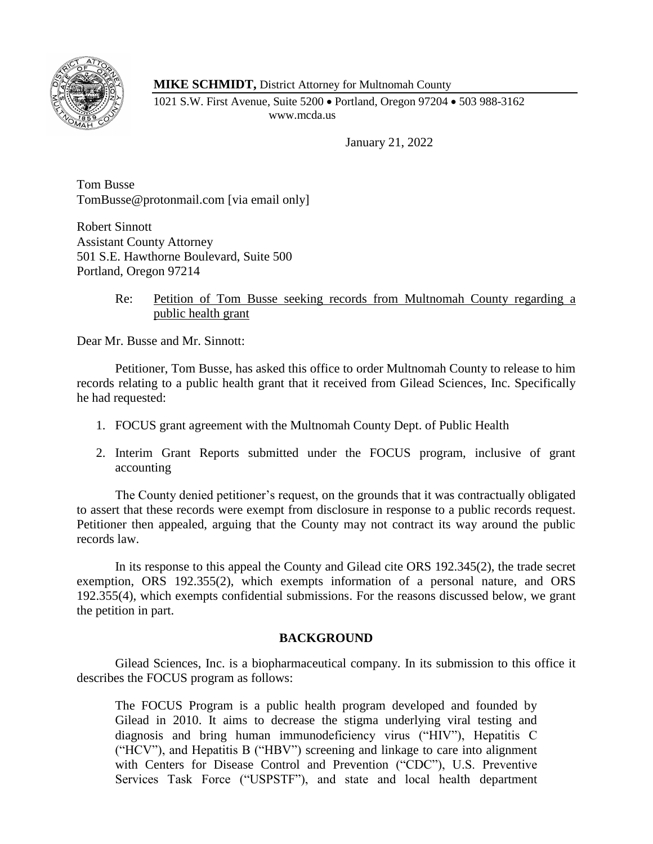

**MIKE SCHMIDT,** District Attorney for Multnomah County

1021 S.W. First Avenue, Suite 5200 • Portland, Oregon 97204 • 503 988-3162 www.mcda.us

January 21, 2022

Tom Busse TomBusse@protonmail.com [via email only]

Robert Sinnott Assistant County Attorney 501 S.E. Hawthorne Boulevard, Suite 500 Portland, Oregon 97214

> Re: Petition of Tom Busse seeking records from Multnomah County regarding a public health grant

Dear Mr. Busse and Mr. Sinnott:

Petitioner, Tom Busse, has asked this office to order Multnomah County to release to him records relating to a public health grant that it received from Gilead Sciences, Inc. Specifically he had requested:

- 1. FOCUS grant agreement with the Multnomah County Dept. of Public Health
- 2. Interim Grant Reports submitted under the FOCUS program, inclusive of grant accounting

The County denied petitioner's request, on the grounds that it was contractually obligated to assert that these records were exempt from disclosure in response to a public records request. Petitioner then appealed, arguing that the County may not contract its way around the public records law.

In its response to this appeal the County and Gilead cite ORS 192.345(2), the trade secret exemption, ORS 192.355(2), which exempts information of a personal nature, and ORS 192.355(4), which exempts confidential submissions. For the reasons discussed below, we grant the petition in part.

# **BACKGROUND**

Gilead Sciences, Inc. is a biopharmaceutical company. In its submission to this office it describes the FOCUS program as follows:

The FOCUS Program is a public health program developed and founded by Gilead in 2010. It aims to decrease the stigma underlying viral testing and diagnosis and bring human immunodeficiency virus ("HIV"), Hepatitis C ("HCV"), and Hepatitis B ("HBV") screening and linkage to care into alignment with Centers for Disease Control and Prevention ("CDC"), U.S. Preventive Services Task Force ("USPSTF"), and state and local health department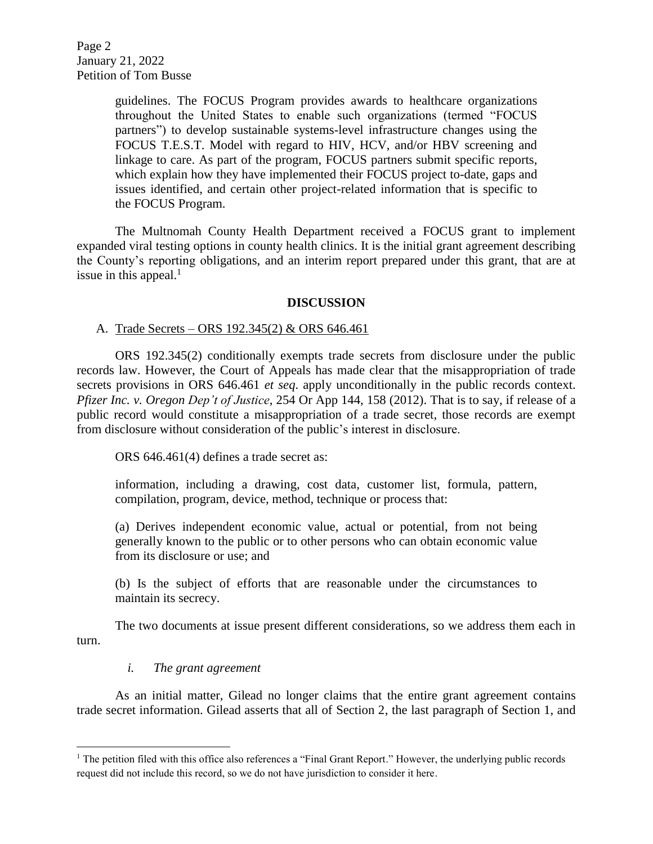Page 2 January 21, 2022 Petition of Tom Busse

> guidelines. The FOCUS Program provides awards to healthcare organizations throughout the United States to enable such organizations (termed "FOCUS partners") to develop sustainable systems-level infrastructure changes using the FOCUS T.E.S.T. Model with regard to HIV, HCV, and/or HBV screening and linkage to care. As part of the program, FOCUS partners submit specific reports, which explain how they have implemented their FOCUS project to-date, gaps and issues identified, and certain other project-related information that is specific to the FOCUS Program.

The Multnomah County Health Department received a FOCUS grant to implement expanded viral testing options in county health clinics. It is the initial grant agreement describing the County's reporting obligations, and an interim report prepared under this grant, that are at issue in this appeal. $<sup>1</sup>$ </sup>

#### **DISCUSSION**

#### A. Trade Secrets – ORS 192.345(2) & ORS 646.461

ORS 192.345(2) conditionally exempts trade secrets from disclosure under the public records law. However, the Court of Appeals has made clear that the misappropriation of trade secrets provisions in ORS 646.461 *et seq*. apply unconditionally in the public records context. *Pfizer Inc. v. Oregon Dep't of Justice*, 254 Or App 144, 158 (2012). That is to say, if release of a public record would constitute a misappropriation of a trade secret, those records are exempt from disclosure without consideration of the public's interest in disclosure.

ORS 646.461(4) defines a trade secret as:

information, including a drawing, cost data, customer list, formula, pattern, compilation, program, device, method, technique or process that:

(a) Derives independent economic value, actual or potential, from not being generally known to the public or to other persons who can obtain economic value from its disclosure or use; and

(b) Is the subject of efforts that are reasonable under the circumstances to maintain its secrecy.

The two documents at issue present different considerations, so we address them each in turn.

# *i. The grant agreement*

 $\overline{\phantom{a}}$ 

As an initial matter, Gilead no longer claims that the entire grant agreement contains trade secret information. Gilead asserts that all of Section 2, the last paragraph of Section 1, and

<sup>&</sup>lt;sup>1</sup> The petition filed with this office also references a "Final Grant Report." However, the underlying public records request did not include this record, so we do not have jurisdiction to consider it here.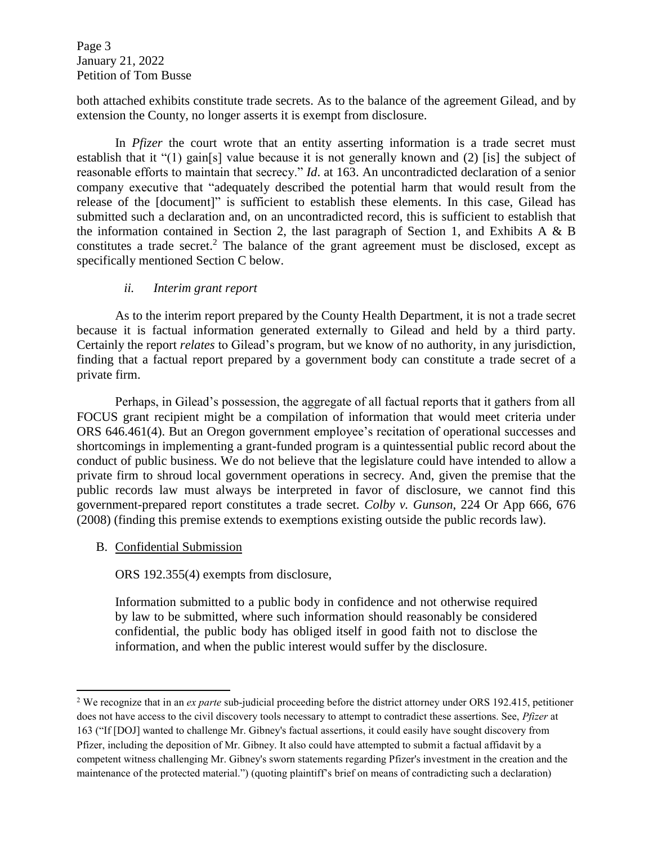Page 3 January 21, 2022 Petition of Tom Busse

both attached exhibits constitute trade secrets. As to the balance of the agreement Gilead, and by extension the County, no longer asserts it is exempt from disclosure.

In *Pfizer* the court wrote that an entity asserting information is a trade secret must establish that it "(1) gain[s] value because it is not generally known and (2) [is] the subject of reasonable efforts to maintain that secrecy." *Id*. at 163. An uncontradicted declaration of a senior company executive that "adequately described the potential harm that would result from the release of the [document]" is sufficient to establish these elements. In this case, Gilead has submitted such a declaration and, on an uncontradicted record, this is sufficient to establish that the information contained in Section 2, the last paragraph of Section 1, and Exhibits A & B constitutes a trade secret.<sup>2</sup> The balance of the grant agreement must be disclosed, except as specifically mentioned Section C below.

# *ii. Interim grant report*

As to the interim report prepared by the County Health Department, it is not a trade secret because it is factual information generated externally to Gilead and held by a third party. Certainly the report *relates* to Gilead's program, but we know of no authority, in any jurisdiction, finding that a factual report prepared by a government body can constitute a trade secret of a private firm.

Perhaps, in Gilead's possession, the aggregate of all factual reports that it gathers from all FOCUS grant recipient might be a compilation of information that would meet criteria under ORS 646.461(4). But an Oregon government employee's recitation of operational successes and shortcomings in implementing a grant-funded program is a quintessential public record about the conduct of public business. We do not believe that the legislature could have intended to allow a private firm to shroud local government operations in secrecy. And, given the premise that the public records law must always be interpreted in favor of disclosure, we cannot find this government-prepared report constitutes a trade secret. *Colby v. Gunson*, 224 Or App 666, 676 (2008) (finding this premise extends to exemptions existing outside the public records law).

# B. Confidential Submission

l

ORS 192.355(4) exempts from disclosure,

Information submitted to a public body in confidence and not otherwise required by law to be submitted, where such information should reasonably be considered confidential, the public body has obliged itself in good faith not to disclose the information, and when the public interest would suffer by the disclosure.

<sup>2</sup> We recognize that in an *ex parte* sub-judicial proceeding before the district attorney under ORS 192.415, petitioner does not have access to the civil discovery tools necessary to attempt to contradict these assertions. See, *Pfizer* at 163 ("If [DOJ] wanted to challenge Mr. Gibney's factual assertions, it could easily have sought discovery from Pfizer, including the deposition of Mr. Gibney. It also could have attempted to submit a factual affidavit by a competent witness challenging Mr. Gibney's sworn statements regarding Pfizer's investment in the creation and the maintenance of the protected material.") (quoting plaintiff's brief on means of contradicting such a declaration)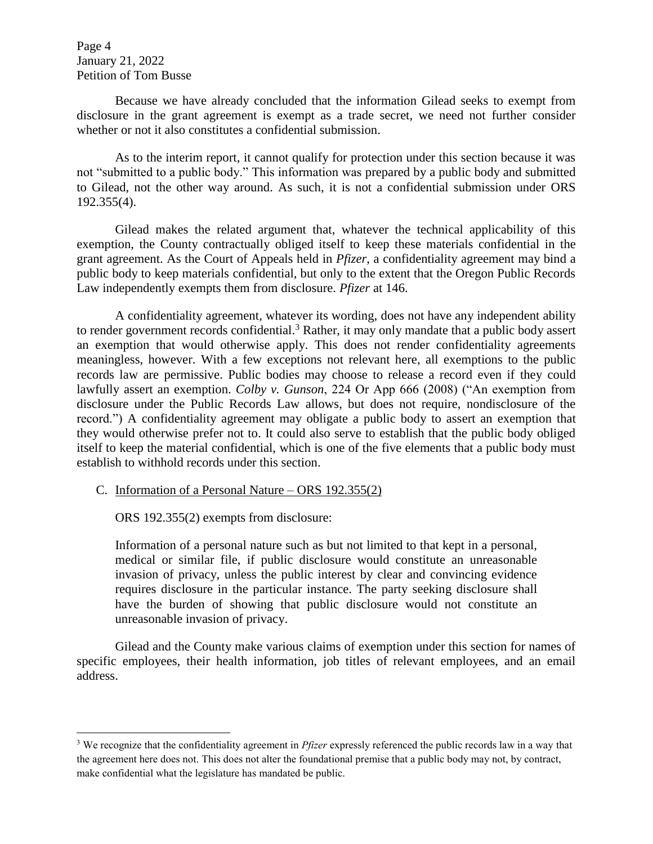Page 4 January 21, 2022 Petition of Tom Busse

l

Because we have already concluded that the information Gilead seeks to exempt from disclosure in the grant agreement is exempt as a trade secret, we need not further consider whether or not it also constitutes a confidential submission.

As to the interim report, it cannot qualify for protection under this section because it was not "submitted to a public body." This information was prepared by a public body and submitted to Gilead, not the other way around. As such, it is not a confidential submission under ORS 192.355(4).

Gilead makes the related argument that, whatever the technical applicability of this exemption, the County contractually obliged itself to keep these materials confidential in the grant agreement. As the Court of Appeals held in *Pfizer*, a confidentiality agreement may bind a public body to keep materials confidential, but only to the extent that the Oregon Public Records Law independently exempts them from disclosure. *Pfizer* at 146.

A confidentiality agreement, whatever its wording, does not have any independent ability to render government records confidential.<sup>3</sup> Rather, it may only mandate that a public body assert an exemption that would otherwise apply. This does not render confidentiality agreements meaningless, however. With a few exceptions not relevant here, all exemptions to the public records law are permissive. Public bodies may choose to release a record even if they could lawfully assert an exemption. *Colby v. Gunson*, 224 Or App 666 (2008) ("An exemption from disclosure under the Public Records Law allows, but does not require, nondisclosure of the record.") A confidentiality agreement may obligate a public body to assert an exemption that they would otherwise prefer not to. It could also serve to establish that the public body obliged itself to keep the material confidential, which is one of the five elements that a public body must establish to withhold records under this section.

C. Information of a Personal Nature – ORS 192.355(2)

ORS 192.355(2) exempts from disclosure:

Information of a personal nature such as but not limited to that kept in a personal, medical or similar file, if public disclosure would constitute an unreasonable invasion of privacy, unless the public interest by clear and convincing evidence requires disclosure in the particular instance. The party seeking disclosure shall have the burden of showing that public disclosure would not constitute an unreasonable invasion of privacy.

Gilead and the County make various claims of exemption under this section for names of specific employees, their health information, job titles of relevant employees, and an email address.

<sup>3</sup> We recognize that the confidentiality agreement in *Pfizer* expressly referenced the public records law in a way that the agreement here does not. This does not alter the foundational premise that a public body may not, by contract, make confidential what the legislature has mandated be public.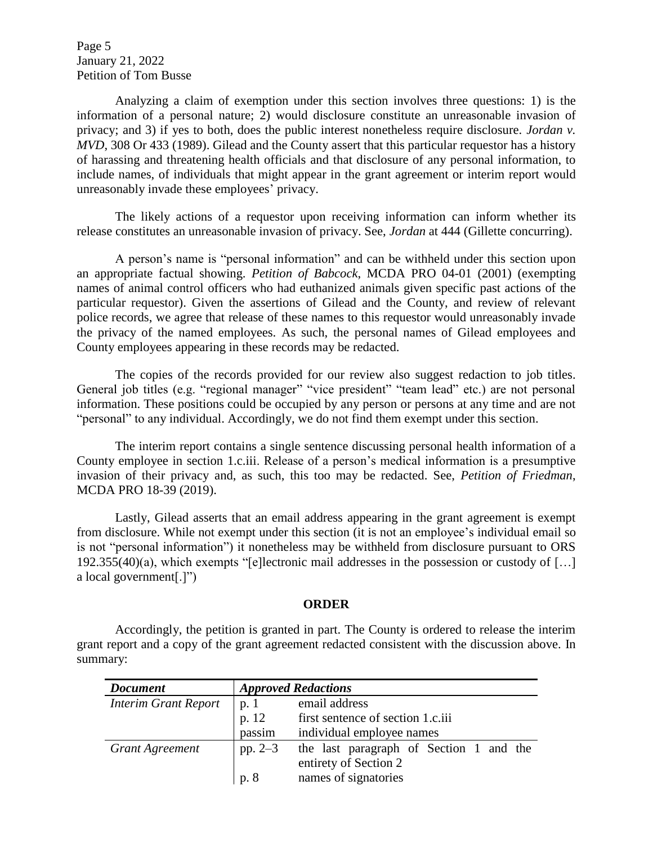Page 5 January 21, 2022 Petition of Tom Busse

Analyzing a claim of exemption under this section involves three questions: 1) is the information of a personal nature; 2) would disclosure constitute an unreasonable invasion of privacy; and 3) if yes to both, does the public interest nonetheless require disclosure. *Jordan v. MVD*, 308 Or 433 (1989). Gilead and the County assert that this particular requestor has a history of harassing and threatening health officials and that disclosure of any personal information, to include names, of individuals that might appear in the grant agreement or interim report would unreasonably invade these employees' privacy.

The likely actions of a requestor upon receiving information can inform whether its release constitutes an unreasonable invasion of privacy. See, *Jordan* at 444 (Gillette concurring).

A person's name is "personal information" and can be withheld under this section upon an appropriate factual showing. *Petition of Babcock*, MCDA PRO 04-01 (2001) (exempting names of animal control officers who had euthanized animals given specific past actions of the particular requestor). Given the assertions of Gilead and the County, and review of relevant police records, we agree that release of these names to this requestor would unreasonably invade the privacy of the named employees. As such, the personal names of Gilead employees and County employees appearing in these records may be redacted.

The copies of the records provided for our review also suggest redaction to job titles. General job titles (e.g. "regional manager" "vice president" "team lead" etc.) are not personal information. These positions could be occupied by any person or persons at any time and are not "personal" to any individual. Accordingly, we do not find them exempt under this section.

The interim report contains a single sentence discussing personal health information of a County employee in section 1.c.iii. Release of a person's medical information is a presumptive invasion of their privacy and, as such, this too may be redacted. See, *Petition of Friedman*, MCDA PRO 18-39 (2019).

Lastly, Gilead asserts that an email address appearing in the grant agreement is exempt from disclosure. While not exempt under this section (it is not an employee's individual email so is not "personal information") it nonetheless may be withheld from disclosure pursuant to ORS 192.355(40)(a), which exempts "[e]lectronic mail addresses in the possession or custody of […] a local government[.]")

#### **ORDER**

Accordingly, the petition is granted in part. The County is ordered to release the interim grant report and a copy of the grant agreement redacted consistent with the discussion above. In summary:

| <b>Document</b>             | <b>Approved Redactions</b> |                                         |
|-----------------------------|----------------------------|-----------------------------------------|
| <b>Interim Grant Report</b> | p. 1                       | email address                           |
|                             | p. 12                      | first sentence of section 1.c.iii       |
|                             | passim                     | individual employee names               |
| <b>Grant Agreement</b>      | pp. $2-3$                  | the last paragraph of Section 1 and the |
|                             |                            | entirety of Section 2                   |
|                             | p. 8                       | names of signatories                    |